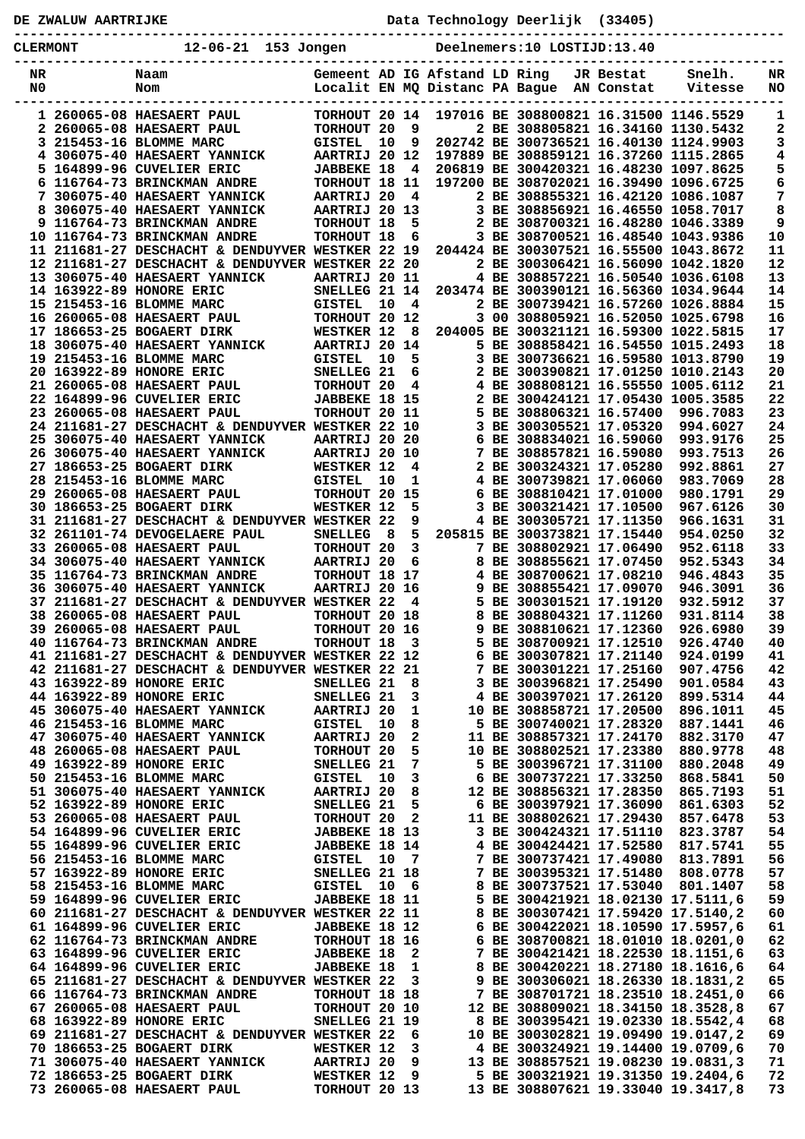|                                        | DE ZWALUW AARTRIJKE |                                                                                |                                     |           |                             |                               |  | Data Technology Deerlijk (33405) |                                                         |                                                                             |                       |  |  |
|----------------------------------------|---------------------|--------------------------------------------------------------------------------|-------------------------------------|-----------|-----------------------------|-------------------------------|--|----------------------------------|---------------------------------------------------------|-----------------------------------------------------------------------------|-----------------------|--|--|
| 12-06-21 153 Jongen<br><b>CLERMONT</b> |                     |                                                                                |                                     |           | Deelnemers:10 LOSTIJD:13.40 |                               |  |                                  |                                                         |                                                                             |                       |  |  |
| NR<br>N0                               |                     | Naam<br>Nom                                                                    |                                     |           |                             | Gemeent AD IG Afstand LD Ring |  |                                  | JR Bestat<br>Localit EN MQ Distanc PA Bague AN Constat  | Snelh.<br>Vitesse                                                           | NR<br>NO              |  |  |
|                                        |                     | 1 260065-08 HAESAERT PAUL                                                      | TORHOUT 20 14                       |           |                             |                               |  |                                  |                                                         | 197016 BE 308800821 16.31500 1146.5529                                      | 1                     |  |  |
|                                        |                     | 2 260065-08 HAESAERT PAUL<br>3 215453-16 BLOMME MARC                           | TORHOUT 20<br>GISTEL                | 10        | 9<br>9                      |                               |  |                                  |                                                         | 2 BE 308805821 16.34160 1130.5432<br>202742 BE 300736521 16.40130 1124.9903 | 2<br>3                |  |  |
|                                        |                     | 4 306075-40 HAESAERT YANNICK                                                   | AARTRIJ 20 12                       |           |                             |                               |  |                                  |                                                         | 197889 BE 308859121 16.37260 1115.2865                                      | 4                     |  |  |
|                                        |                     | 5 164899-96 CUVELIER ERIC                                                      | <b>JABBEKE 18</b>                   |           | -4                          |                               |  |                                  |                                                         | 206819 BE 300420321 16.48230 1097.8625                                      | 5                     |  |  |
|                                        |                     | 6 116764-73 BRINCKMAN ANDRE                                                    | TORHOUT 18 11                       |           |                             |                               |  |                                  |                                                         | 197200 BE 308702021 16.39490 1096.6725                                      | 6                     |  |  |
|                                        |                     | 7 306075-40 HAESAERT YANNICK                                                   | AARTRIJ 20                          |           | $\overline{4}$              |                               |  |                                  |                                                         | 2 BE 308855321 16.42120 1086.1087                                           | 7                     |  |  |
| 8                                      |                     | 306075-40 HAESAERT YANNICK<br>9 116764-73 BRINCKMAN ANDRE                      | AARTRIJ 20 13<br>TORHOUT 18         |           | 5                           |                               |  |                                  |                                                         | 3 BE 308856921 16.46550 1058.7017<br>2 BE 308700321 16.48280 1046.3389      | 8<br>$\boldsymbol{9}$ |  |  |
|                                        |                     | 10 116764-73 BRINCKMAN ANDRE                                                   | TORHOUT 18                          |           | -6                          |                               |  |                                  |                                                         | 3 BE 308700521 16.48540 1043.9386                                           | ${\bf 10}$            |  |  |
|                                        |                     | 11 211681-27 DESCHACHT & DENDUYVER WESTKER 22 19                               |                                     |           |                             |                               |  |                                  |                                                         | 204424 BE 300307521 16.55500 1043.8672                                      | 11                    |  |  |
|                                        |                     | 12 211681-27 DESCHACHT & DENDUYVER WESTKER 22 20                               |                                     |           |                             |                               |  |                                  |                                                         | 2 BE 300306421 16.56090 1042.1820                                           | 12                    |  |  |
|                                        |                     | 13 306075-40 HAESAERT YANNICK<br><b>14 163922-89 HONORE ERIC</b>               | AARTRIJ 20 11<br>SNELLEG 21 14      |           |                             |                               |  |                                  |                                                         | 4 BE 308857221 16.50540 1036.6108<br>203474 BE 300390121 16.56360 1034.9644 | 13<br>14              |  |  |
|                                        |                     | 15 215453-16 BLOMME MARC                                                       | <b>GISTEL</b>                       | 10        | $\overline{4}$              |                               |  |                                  |                                                         | 2 BE 300739421 16.57260 1026.8884                                           | 15                    |  |  |
|                                        |                     | 16 260065-08 HAESAERT PAUL                                                     | TORHOUT 20 12                       |           |                             |                               |  |                                  |                                                         | 3 00 308805921 16.52050 1025.6798                                           | 16                    |  |  |
|                                        |                     | 17 186653-25 BOGAERT DIRK                                                      | <b>WESTKER 12</b>                   |           | - 8                         |                               |  |                                  |                                                         | 204005 BE 300321121 16.59300 1022.5815                                      | 17                    |  |  |
|                                        |                     | <b>18 306075-40 HAESAERT YANNICK</b>                                           | AARTRIJ 20 14                       |           |                             |                               |  |                                  |                                                         | 5 BE 308858421 16.54550 1015.2493                                           | 18                    |  |  |
|                                        |                     | 19 215453-16 BLOMME MARC<br>20 163922-89 HONORE ERIC                           | <b>GISTEL</b><br>SNELLEG 21         | 10        | 5<br>6                      |                               |  |                                  |                                                         | 3 BE 300736621 16.59580 1013.8790<br>2 BE 300390821 17.01250 1010.2143      | 19<br>20              |  |  |
|                                        |                     | 21 260065-08 HAESAERT PAUL                                                     | TORHOUT 20                          |           | 4                           |                               |  |                                  |                                                         | 4 BE 308808121 16.55550 1005.6112                                           | 21                    |  |  |
|                                        |                     | 22 164899-96 CUVELIER ERIC                                                     | <b>JABBEKE 18 15</b>                |           |                             |                               |  |                                  |                                                         | 2 BE 300424121 17.05430 1005.3585                                           | 22                    |  |  |
|                                        |                     | 23  260065-08  HAESAERT PAUL                                                   | TORHOUT 20 11                       |           |                             |                               |  |                                  | 5 BE 308806321 16.57400                                 | 996.7083                                                                    | 23                    |  |  |
|                                        |                     | 24 211681-27 DESCHACHT & DENDUYVER WESTKER 22 10                               |                                     |           |                             |                               |  |                                  | 3 BE 300305521 17.05320                                 | 994.6027                                                                    | 24                    |  |  |
|                                        |                     | 25 306075-40 HAESAERT YANNICK<br><b>26 306075-40 HAESAERT YANNICK</b>          | AARTRIJ 20 20<br>AARTRIJ 20 10      |           |                             |                               |  |                                  | 6 BE 308834021 16.59060<br>7 BE 308857821 16.59080      | 993.9176<br>993.7513                                                        | 25<br>26              |  |  |
|                                        |                     | 27 186653-25 BOGAERT DIRK                                                      | WESTKER 12                          |           | 4                           |                               |  |                                  | 2 BE 300324321 17.05280                                 | 992.8861                                                                    | 27                    |  |  |
|                                        |                     | 28 215453-16 BLOMME MARC                                                       | <b>GISTEL</b>                       | 10        | 1                           |                               |  |                                  | 4 BE 300739821 17.06060                                 | 983.7069                                                                    | 28                    |  |  |
|                                        |                     | 29 260065-08 HAESAERT PAUL                                                     | TORHOUT 20 15                       |           |                             |                               |  |                                  | 6 BE 308810421 17.01000                                 | 980.1791                                                                    | 29                    |  |  |
|                                        |                     | 30 186653-25 BOGAERT DIRK                                                      | WESTKER 12                          |           | 5                           |                               |  |                                  | 3 BE 300321421 17.10500                                 | 967.6126                                                                    | 30                    |  |  |
|                                        |                     | 31 211681-27 DESCHACHT & DENDUYVER WESTKER 22<br>32 261101-74 DEVOGELAERE PAUL | <b>SNELLEG</b>                      | 8         | 9<br>5                      |                               |  |                                  | 4 BE 300305721 17.11350<br>205815 BE 300373821 17.15440 | 966.1631<br>954.0250                                                        | 31<br>32              |  |  |
|                                        |                     | 33 260065-08 HAESAERT PAUL                                                     | TORHOUT 20                          |           | $\mathbf{3}$                |                               |  |                                  | 7 BE 308802921 17.06490                                 | 952.6118                                                                    | 33                    |  |  |
|                                        |                     | 34 306075-40 HAESAERT YANNICK                                                  | AARTRIJ 20                          |           | 6                           |                               |  |                                  | 8 BE 308855621 17.07450                                 | 952.5343                                                                    | 34                    |  |  |
|                                        |                     | 35 116764-73 BRINCKMAN ANDRE                                                   | TORHOUT 18 17                       |           |                             |                               |  |                                  | 4 BE 308700621 17.08210                                 | 946.4843                                                                    | 35                    |  |  |
|                                        |                     | 36 306075-40 HAESAERT YANNICK                                                  | AARTRIJ 20 16                       |           |                             |                               |  |                                  | 9 BE 308855421 17.09070                                 | 946.3091                                                                    | 36                    |  |  |
|                                        |                     | 37 211681-27 DESCHACHT & DENDUYVER WESTKER 22<br>38 260065-08 HAESAERT PAUL    | TORHOUT 20 18                       |           | 4                           |                               |  |                                  | 5 BE 300301521 17.19120<br>8 BE 308804321 17.11260      | 932.5912<br>931.8114                                                        | 37<br>38              |  |  |
|                                        |                     | 39 260065-08 HAESAERT PAUL                                                     | TORHOUT 20 16                       |           |                             |                               |  |                                  | 9 BE 308810621 17.12360                                 | 926.6980                                                                    | 39                    |  |  |
|                                        |                     | 40 116764-73 BRINCKMAN ANDRE                                                   | TORHOUT 18                          |           | $_{3}$                      |                               |  |                                  | 5 BE 308700921 17.12510                                 | 926.4740                                                                    | 40                    |  |  |
|                                        |                     | 41 211681-27 DESCHACHT & DENDUYVER WESTKER 22 12                               |                                     |           |                             |                               |  |                                  | 6 BE 300307821 17.21140                                 | 924.0199                                                                    | 41                    |  |  |
|                                        |                     | 42 211681-27 DESCHACHT & DENDUYVER WESTKER 22 21<br>43 163922-89 HONORE ERIC   |                                     |           |                             |                               |  |                                  | 7 BE 300301221 17.25160<br>3 BE 300396821 17.25490      | 907.4756                                                                    | 42<br>43              |  |  |
|                                        |                     | 44 163922-89 HONORE ERIC                                                       | SNELLEG 21<br>SNELLEG <sub>21</sub> |           | 8<br>3                      |                               |  |                                  | 4 BE 300397021 17.26120                                 | 901.0584<br>899.5314                                                        | 44                    |  |  |
|                                        |                     | 45 306075-40 HAESAERT YANNICK                                                  | AARTRIJ 20                          |           | $\mathbf{1}$                |                               |  |                                  | 10 BE 308858721 17.20500                                | 896.1011                                                                    | 45                    |  |  |
|                                        |                     | 46 215453-16 BLOMME MARC                                                       | <b>GISTEL</b>                       | <b>10</b> | 8                           |                               |  |                                  | 5 BE 300740021 17.28320                                 | 887.1441                                                                    | 46                    |  |  |
|                                        |                     | 47 306075-40 HAESAERT YANNICK                                                  | <b>AARTRIJ 20</b>                   |           | $\mathbf{2}$                |                               |  |                                  | 11 BE 308857321 17.24170                                | 882.3170                                                                    | 47                    |  |  |
|                                        |                     | 48 260065-08 HAESAERT PAUL<br>49 163922-89 HONORE ERIC                         | TORHOUT 20<br>SNELLEG 21            |           | 5<br>7                      |                               |  |                                  | 10 BE 308802521 17.23380<br>5 BE 300396721 17.31100     | 880.9778<br>880.2048                                                        | 48<br>49              |  |  |
|                                        |                     | 50 215453-16 BLOMME MARC                                                       | <b>GISTEL</b>                       | 10        | $\mathbf{3}$                |                               |  |                                  | 6 BE 300737221 17.33250                                 | 868.5841                                                                    | 50                    |  |  |
|                                        |                     | 51 306075-40 HAESAERT YANNICK                                                  | <b>AARTRIJ 20</b>                   |           | 8                           |                               |  |                                  | 12 BE 308856321 17.28350                                | 865.7193                                                                    | 51                    |  |  |
|                                        |                     | 52 163922-89 HONORE ERIC                                                       | SNELLEG <sub>21</sub>               |           | 5                           |                               |  |                                  | 6 BE 300397921 17.36090                                 | 861.6303                                                                    | 52                    |  |  |
|                                        |                     | 53 260065-08 HAESAERT PAUL<br>54 164899-96 CUVELIER ERIC                       | TORHOUT 20<br><b>JABBEKE 18 13</b>  |           | $\overline{\mathbf{2}}$     |                               |  |                                  | 11 BE 308802621 17.29430<br>3 BE 300424321 17.51110     | 857.6478<br>823.3787                                                        | 53<br>54              |  |  |
|                                        |                     | 55 164899-96 CUVELIER ERIC                                                     | <b>JABBEKE 18 14</b>                |           |                             |                               |  |                                  | 4 BE 300424421 17.52580                                 | 817.5741                                                                    | 55                    |  |  |
|                                        |                     | 56 215453-16 BLOMME MARC                                                       | <b>GISTEL</b>                       | 10        | - 7                         |                               |  |                                  | 7 BE 300737421 17.49080                                 | 813.7891                                                                    | 56                    |  |  |
|                                        |                     | 57 163922-89 HONORE ERIC                                                       | SNELLEG 21 18                       |           |                             |                               |  |                                  | 7 BE 300395321 17.51480                                 | 808.0778                                                                    | 57                    |  |  |
|                                        |                     | 58 215453-16 BLOMME MARC                                                       | GISTEL 10                           |           | - 6                         |                               |  |                                  | 8 BE 300737521 17.53040                                 | 801.1407                                                                    | 58                    |  |  |
|                                        |                     | 59 164899-96 CUVELIER ERIC<br>60 211681-27 DESCHACHT & DENDUYVER WESTKER 22 11 | <b>JABBEKE 18 11</b>                |           |                             |                               |  |                                  |                                                         | 5 BE 300421921 18.02130 17.5111,6<br>8 BE 300307421 17.59420 17.5140,2      | 59<br>60              |  |  |
|                                        |                     | 61 164899-96 CUVELIER ERIC                                                     | <b>JABBEKE 18 12</b>                |           |                             |                               |  |                                  |                                                         | 6 BE 300422021 18.10590 17.5957,6                                           | 61                    |  |  |
|                                        |                     | 62 116764-73 BRINCKMAN ANDRE                                                   | TORHOUT 18 16                       |           |                             |                               |  |                                  |                                                         | 6 BE 308700821 18.01010 18.0201,0                                           | 62                    |  |  |
|                                        |                     | 63 164899-96 CUVELIER ERIC                                                     | <b>JABBEKE 18</b>                   |           | $\overline{\mathbf{2}}$     |                               |  |                                  |                                                         | 7 BE 300421421 18.22530 18.1151,6                                           | 63                    |  |  |
|                                        |                     | 64 164899-96 CUVELIER ERIC                                                     | <b>JABBEKE 18</b>                   |           | 1                           |                               |  |                                  |                                                         | 8 BE 300420221 18.27180 18.1616,6                                           | 64                    |  |  |
|                                        |                     | 65 211681-27 DESCHACHT & DENDUYVER WESTKER 22<br>66 116764-73 BRINCKMAN ANDRE  | TORHOUT 18 18                       |           | - 3                         |                               |  |                                  |                                                         | 9 BE 300306021 18.26330 18.1831,2<br>7 BE 308701721 18.23510 18.2451,0      | 65<br>66              |  |  |
|                                        |                     | 67 260065-08 HAESAERT PAUL                                                     | TORHOUT 20 10                       |           |                             |                               |  |                                  |                                                         | 12 BE 308809021 18.34150 18.3528,8                                          | 67                    |  |  |
|                                        |                     | 68 163922-89 HONORE ERIC                                                       | SNELLEG 21 19                       |           |                             |                               |  |                                  |                                                         | 8 BE 300395421 19.02330 18.5542,4                                           | 68                    |  |  |
|                                        |                     | 69 211681-27 DESCHACHT & DENDUYVER WESTKER 22                                  |                                     |           | - 6                         |                               |  |                                  |                                                         | 10 BE 300302821 19.09490 19.0147,2                                          | 69                    |  |  |
|                                        |                     | 70 186653-25 BOGAERT DIRK<br>71 306075-40 HAESAERT YANNICK                     | WESTKER 12<br>AARTRIJ 20            |           | 3<br>9                      |                               |  |                                  |                                                         | 4 BE 300324921 19.14400 19.0709,6<br>13 BE 308857521 19.08230 19.0831,3     | 70<br>71              |  |  |
|                                        |                     | 72 186653-25 BOGAERT DIRK                                                      | WESTKER 12                          |           | - 9                         |                               |  |                                  |                                                         | 5 BE 300321921 19.31350 19.2404,6                                           | 72                    |  |  |
|                                        |                     | 73 260065-08 HAESAERT PAUL                                                     | TORHOUT 20 13                       |           |                             |                               |  |                                  |                                                         | 13 BE 308807621 19.33040 19.3417,8                                          | 73                    |  |  |